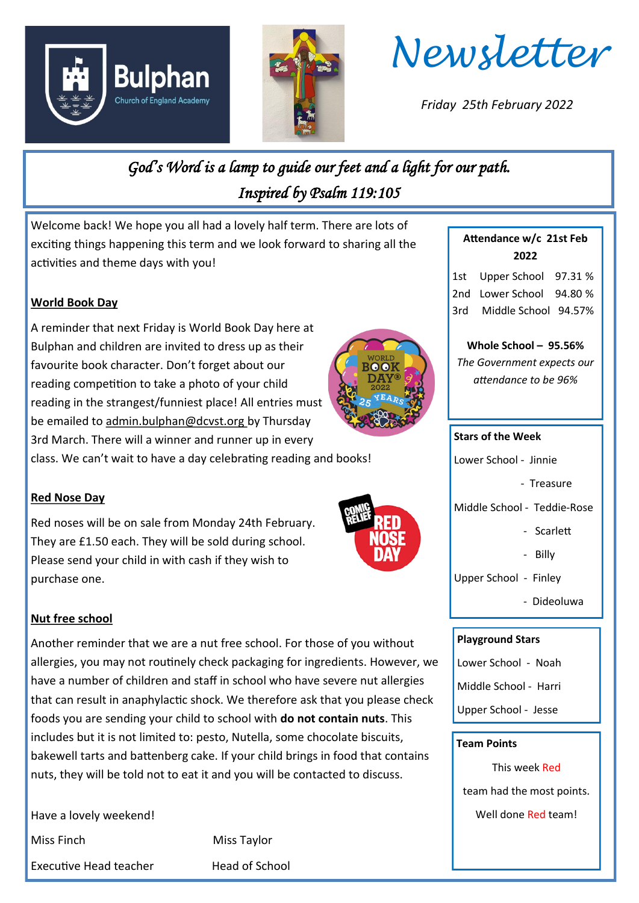





*Friday 25th February 2022*

# *God's Word is a lamp to guide our feet and a light for our path. Inspired by Psalm 119:105*

Welcome back! We hope you all had a lovely half term. There are lots of exciting things happening this term and we look forward to sharing all the activities and theme days with you!

## **World Book Day**

A reminder that next Friday is World Book Day here at Bulphan and children are invited to dress up as their favourite book character. Don't forget about our reading competition to take a photo of your child reading in the strangest/funniest place! All entries must be emailed to admin.bulphan@dcvst.org by Thursday 3rd March. There will a winner and runner up in every class. We can't wait to have a day celebrating reading and books!



## **Red Nose Day**

Red noses will be on sale from Monday 24th February. They are £1.50 each. They will be sold during school. Please send your child in with cash if they wish to purchase one.



#### **Nut free school**

Another reminder that we are a nut free school. For those of you without allergies, you may not routinely check packaging for ingredients. However, we have a number of children and staff in school who have severe nut allergies that can result in anaphylactic shock. We therefore ask that you please check foods you are sending your child to school with **do not contain nuts**. This includes but it is not limited to: pesto, Nutella, some chocolate biscuits, bakewell tarts and battenberg cake. If your child brings in food that contains nuts, they will be told not to eat it and you will be contacted to discuss.

Have a lovely weekend!

Executive Head teacher **Head of School** 

Miss Finch Miss Taylor

## **Attendance w/c 21st Feb 2022**

1st Upper School 97.31 % 2nd Lower School 94.80 % 3rd Middle School 94.57%

**Whole School – 95.56%**

*The Government expects our attendance to be 96%*

#### **Stars of the Week**

- Lower School Jinnie
	- Treasure

Middle School - Teddie-Rose

- Scarlett
- Billy
- Upper School Finley
	- Dideoluwa

#### **Playground Stars**

Lower School - Noah

Middle School - Harri

Upper School - Jesse

#### **Team Points**

This week Red

team had the most points.

Well done Red team!